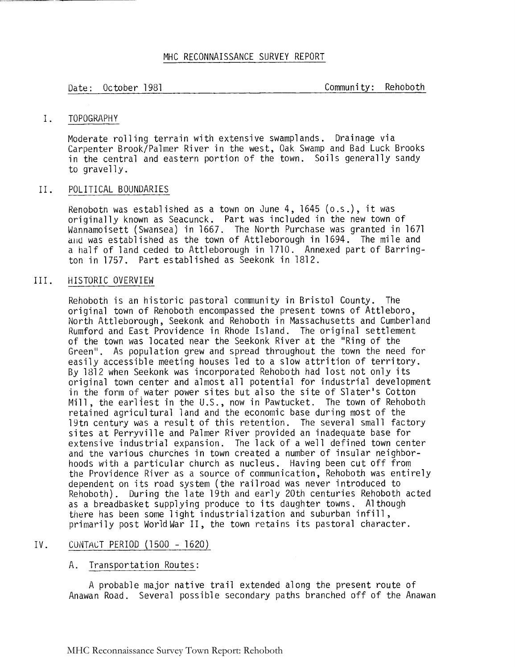# MHC RECONNAISSANCE SURVEY REPORT

Date: October 1981 Community: Rehoboth

# I. TOPOGRAPHY

Moderate rolling terrain with extensive swamplands. Drainage via Carpenter Brook/Palmer River in the west, Oak Swamp and Bad Luck Brooks in the central and eastern portion of the town. Soils generally sandy to gravelly.

## 11. POLITICAL BOUNDARIES

Kenoboth was established as a town on June 4, 1645 (o.s.), it was originally known as Seacunck. Part was included in the new town of Wannamoisett (Swansea) in 1667. The North Purchase was granted in 1671 **aird** was established as the town of Attleborough in 1694. The mile and a half of land ceded to Attleborough in 1710. Annexed part of Barrington in 1757. Part established as Seekonk in 1812.

# 111. HISTORIC OVERVIEW

Rehoboth is an historic pastoral community in Bristol County. The original town of Rehoboth encompassed the present towns of Attleboro,<br>North Attleborough, Seekonk and Rehoboth in Massachusetts and Cumberland Kumford and East Providence in Rhode Island. The original settlement of the town was located near the Seekonk River at the "Ring of the Green". As population grew and spread throughout the town the need for easily accessible meeting houses led to a slow attrition of territory. By 1312 when Seekonk was incorporated Rehoboth had lost not only its original town center and almost a1 1 potential for industrial development in the form of-water power sites but also the site of Slater's Cotton Mill, the earliest in the U.S., now in Pawtucket. The town of Rehoboth retained agricultural land and the economic base during most of the 19tn century was a result of this retention. The several small factory sites at Perryville and Palmer River provided an inadequate base for extensive industrial expansion. The lack of a well defined town center and the various churcnes in town created a number of insular neighborhoods with a particular church as nucleus. Having been cut off from the Providence River as a source of communication, Rehoboth was entirely dependent on its road system (the railroad was never introduced to Rehoboth) . During the late 19th and early 20th centuries Rehoboth acted as a breadbasket supplying produce to i ts daughter towns. A1 though there has been some light industrialization and suburban infill,<br>primarily post World War II, the town retains its pastoral character.

# IV. CONTACT PERIOD (1500 - 1620)

# A. Transportation Routes :

A probable major native trail extended along the present route of Anawan Road. Several possible secondary paths branched off of the Anawan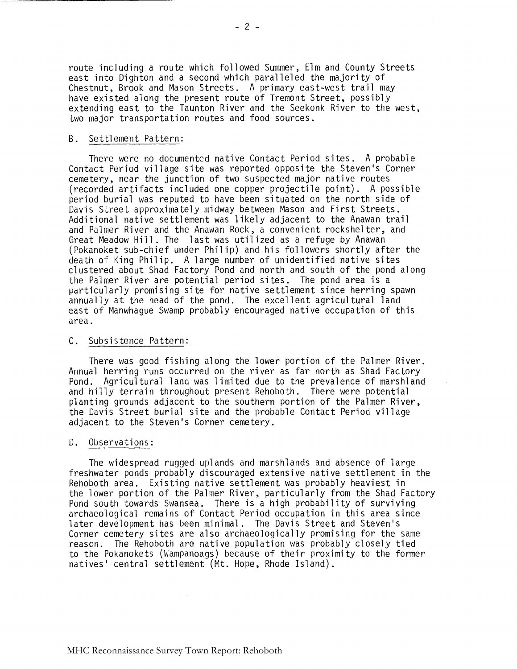route including a route which followed Summer, Elm and County Streets east into Dighton and a second which paralleled the majority of Chestnut, Brook and Mason Streets. A primary east-west trail may have existed along the present route of Tremont Street, possibly extending east to the Taunton River and the Seekonk River to the west, two major transportation routes and food sources.

#### B. Settlement Pattern:

There were no documented native Contact Period sites. A probable Contact Period village site was reported opposite the Steven's Corner cemetery, near the junction of two suspected major native routes (recorded artifacts included one copper projectile point). A possible period burial was reputed to have been situated on the north side of Davis Street approximately midway between Mason and First Streets. Additional native settlement was likely adjacent to the Anawan trail and Palmer River and the Anawan Rock, a convenient rockshel ter, and Great Meadow Hill. The last was utilized as a refuge by Anawan (Pokanoket sub-chief under Philip) and his followers shortly after the death of King Philip. A large number of unidentified native sites clustered about Shad Factory Pond and north and south of the pond along the Palmer River are potential period sites. The pond area is a particularly promising site for native settlement since herring spawn annually at the head of the pond. The excel lent agricul tural land east of Manwhague Swamp probably encouraged native occupation of this drea.

#### C. Subsistence Pattern :

There was good fishing along the lower portion of the Palmer River. Annual herring runs occurred on the river as far north as Shad Factory Pond. Agricul tural 1 and was 1 imi ted due to the prevalence of marshland and hilly terrain throughout present Rehoboth. There were potential planting grounds adjacent to the southern portion of the Palmer River, the Davis Street burial site and the probable Contact Period village adjacent to the Steven's Corner cemetery.

#### D. Observations:

The widespread rugged uplands and marshlands and absence of large freshwater ponds probably discouraged extensive native settlement in the Rehoboth area. Existing native settlement was probably heaviest in the lower portion of the Palmer River, particularly from the Shad Factory Pond south towards Swansea. There is a high probability of surviving archaeological remains of Contact Period occupation in this area since later development has been minimal. The Davis Street and Steven's Corner cemetery sites are also archaeologically promising for the same reason. The Rehoboth are native population was probably closely tied to the Pokanokets (Wampanoags) because of their proximity to the former natives' central settlement (Mt. Hope, Rhode Island).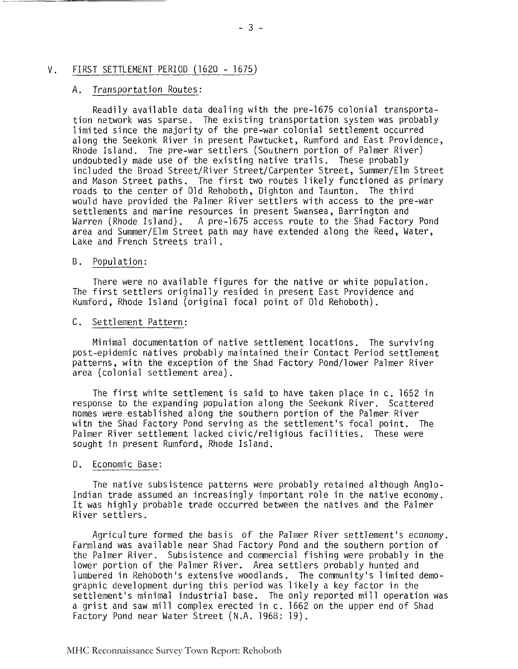#### $V_{-}$ FIRST SETTLEMENT PERIOD (1620 - 1675)

### A. Transportation Routes:

Readily avail able data dealing with the pre-1675 colonial transportation network was sparse. The existing transportation system was probably 1 imi ted since the majority of the pre-war colonial settlement occurred along the Seekonk River in present Pawtucket, Rumford and East Providence, Rhode Is1 and. The pre-war settlers (Soutnern portion of Palmer River) undoubtedly made use of the existing native trails. These probably incl uded the Broad Street/Ri ver Street/Carpenter Street, Summer/Elm Street and Mason Street paths. The first two routes likely functioned as primary roads to the center of Old Rehoboth, Dighton and Taunton. The third would have provided the Palmer River settlers with access to the pre-war settlements and marine resources in present Swansea, Barrington and Warren (Rhode Island). A pre-1675 access route to the Shad Factory Pond area and Summer/Elm Street path may have extended along the Reed, Water, Lake and French Streets trail .

#### B. Popul ation :

There were no available figures for the native or white population. The first settlers originally resided in present East Providence and Rumford, Rhode Island (original focal point of Old Rehoboth) .

# C. Settlement Pattern:

Minimal documentation of native settlement 1 ocations . The surviving post-epidemic natives probably maintained their Contact Period settlement patterns, with the exception of the Shad Factory Pond/lower Palmer River area (colonial settlement area).

The first white settlement is said to have taken place in c. 1652 in response to the expanding population along the Seekonk River. Scattered homes were established along the southern portion of the Palmer River Momes were established along the southern portion of the ranner wiver<br>with the Shad Factory Pond serving as the settlement's focal point. The<br>Palmer River settlement lacked civic/religious facilities. These were sought in present Rumford, Rhode Island.

## D. Economic Base:

The native subsistence patterns were probably retained a1 though Anglo-Indian trade assumed an increasingly important role in the native economy. It was highly probable trade occurred between the natives and the Palmer River settlers.

Agricul ture formed the basis of the Palmer River settlement's economy. Farmland was available near Shad Factory Pond and the southern portion of the Palmer River. Subsistence and commercial fishing were probably in the lower portion of the Palmer River. Area settlers probably hunted and 1 umbered in Kehoboth 's extensive wood1 ands . The communi ty 's 1 imi ted demographic development during this period was likely a key factor in the settlement's minimal industrial base. The only reported mill operation was a grist and saw mill complex erected in c. 1662 on the upper end of Shad Factory Pond near Water Street (N.A. 1968: 19).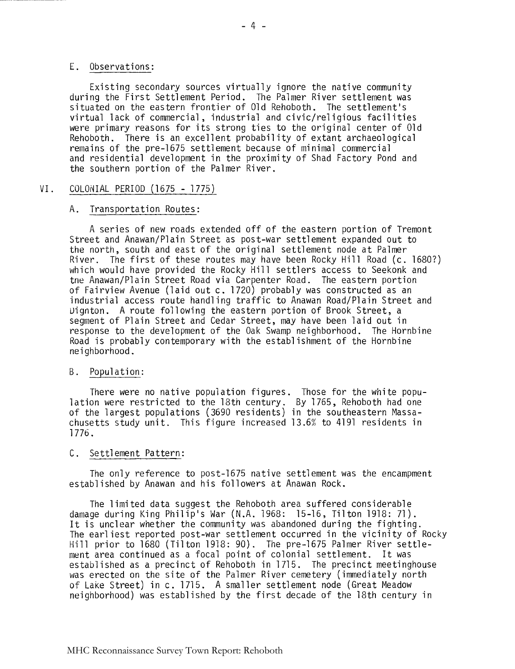## E. Observations:

Existing secondary sources virtually ignore the native community during the First Settlement Period. The Palmer River settlement was situated on the eastern frontier of Old Rehoboth. The settlement's virtual 1 ack of commercial , industrial and civic/rel igious facil i ties were primary reasons for its strong ties to the original center of Old Rehoboth. There is an excellent probability of extant archaeological remains of the pre-1675 settlement because of minimal commercial and residential development in the proximity of Shad Factory Pond and the southern portion of the Palmer River.

# VI. COLOiiIAL PERIOD (1675 - 1775)

# A. Transportation Routes :

A series of new roads extended off of the eastern portion of Tremont Street and Anawan/Plain Street as post-war settlement expanded out to the north, south and east of the original settlement node at Palmer River. The first of these routes may have been Rocky Hill Road (c. 1680?) which would have provided the Rocky Hill settlers access to Seekonk and tne Anawan/Plain Street Road via Carpenter Road. The eastern portion of Fairview Avenue (laid out c. 1720) probably was constructed as an industrial access route handling traffic to Anawan Road/Plain Street and Uignton. A route following the eastern portion of Brook Street, a segment of Plain Street and Cedar Street, may have been laid out in response to the development of the Oak Swamp neighborhood. The Hornbine Road is probably contemporary with the establishment of the Hornbine neighborhood .

# B. Population:

There were no native population figures. Those for the white population were restricted to the 18th century. By 1765, Rehoboth had one of the 1 argest populations (3690 residents) in the southeastern Massachusetts study unit. This figure increased 13.6% to 4191 residents in 1776.

# C. Settlement Pattern:

The only reference to post-1675 native settlement was the encampment established by Anawan and his followers at Anawan Rock.

The limited data suggest the Rehoboth area suffered considerable damage during King Philip's War (N.A. 1968: 15-16, Tilton 1918: 71). It is unclear whether the community was abandoned during the fighting. The earl iest reported post-war settlement occurred in the vicinity of Rocky Hill prior to 1680 (Tilton 1918: 90). The pre-1675 Palmer River settlement area continued as a focal point of colonial settlement. It was established as a precinct of Rehoboth in 1715. The precinct meetinghouse was erected on the site of the Palmer River cemetery (immediately north of Lake Street) in c. 1715. A smaller settlement node (Great Meadow neighborhood) was established by the first decade of the 18th century in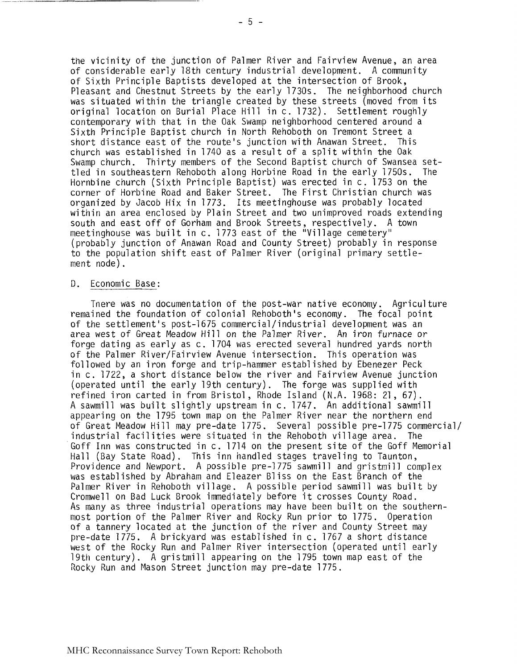the vicinity of the junction of Palmer River and Fairview Avenue, an area of considerable early 18th century industrial development. A community of Sixth Principle Baptists developed at the intersection of Brook, Pleasant and Chestnut Streets by the early 1730s. The neighborhood church<br>was situated within the triangle created by these streets (moved from its original location on Burial Place Hill in c. 1732). Settlement roughly contemporary with that in the Oak Swamp neighborhood centered around a Sixth Principle Baptist church in North Rehoboth on Tremont Street a short distance east of the route's junction with Anawan Street. This church was established in 1740 as a result of a split within the Oak Swamp church. Thirty members of the Second Baptist church of Swansea settled in southeastern Rehoboth along Horbine Road in the early 1750s. The Hornbine church (Sixth Principle Baptist) was erected in c. 1753 on the corner of Horbine Road and Baker Street. The First Christian church was organized by Jacob Hix in 1773. Its meetinghouse was probably located wi thin an area enclosed by Plain Street and two unimproved roads extending south and east off of Gorham and Brook Streets, respectively. A town meetinghouse was built in c. 1773 east of the "Village cemetery" (probably junction of Anawan Road and County Street) probably in response to the population shift east of Palmer River (original primary settlement node).

#### D. Economic Base:

Tnere was no documentation of the post-war native economy. Agriculture remained the foundation of colonial Rehoboth's economy. The focal point of the settlement's post-1675 commercial/industria1 development was an area west of Great Meadow Hill on the Palmer River. An iron furnace or forge dating as early as c. 1704 was erected several hundred yards north of the Palmer River/Fairview Avenue intersection. This operation was followed by an iron forge and trip-hammer established by Ebenezer Peck in c. 1722, a short distance below the river and Fairview Avenue junction (operated until the early 19th century). The forge was suppl ied with refined iron carted in from Bristol, Rhode Island (N.A. 1968: 21, 67). A sawmill was built slightly upstream in c. 1747. An additional sawmill appearing on the 1795 town map on the Palmer River near the northern end of Great Meadow Hill may pre-date 1775. Several possible pre-1775 commercial/<br>industrial facilities were situated in the Rehoboth village area. The Goff Inn was constructed in c. 1714 on the present site of the Goff Memorial Hall (Bay State Road). This inn handled stages traveling to Taunton, Providence and Newport. A possible pre-1775 sawmill and gristmill complex was established by Abraham and Eleazer Bliss on the East Branch of the Palmer River in Rehoboth village. A possible period sawmill was built by Cromwell on Bad Luck Brook immediately before it crosses County Road. As many as three industrial operations may have been built on the southernmost portion of the Palmer River and Rocky Run prior to 1775. Operation of a tannery located at the junction of the river and County Street may pre-date 1775. A brickyard was established in c. 1767 a short distance west of the Rocky Run and Palmer River intersection (operated until early 19th century). A gristmill appearing on the 1795 town map east of the Rocky Run and Mason Street junction may pre-date 1775.